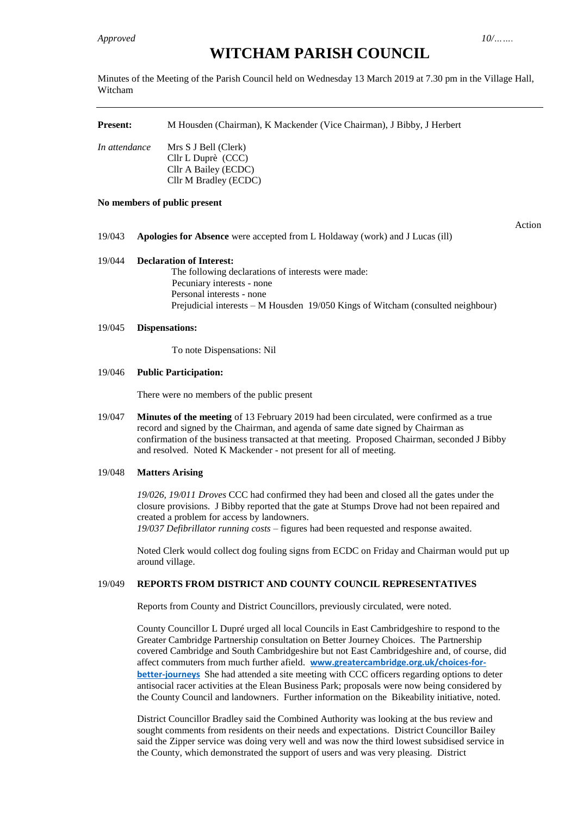# **WITCHAM PARISH COUNCIL**

Minutes of the Meeting of the Parish Council held on Wednesday 13 March 2019 at 7.30 pm in the Village Hall, Witcham

| <b>Present:</b> | M Housden (Chairman), K Mackender (Vice Chairman), J Bibby, J Herbert                       |  |  |  |
|-----------------|---------------------------------------------------------------------------------------------|--|--|--|
| In attendance   | Mrs S J Bell (Clerk)<br>Cllr L Duprè (CCC)<br>Cllr A Bailey (ECDC)<br>Cllr M Bradley (ECDC) |  |  |  |

## **No members of public present**

19/043 **Apologies for Absence** were accepted from L Holdaway (work) and J Lucas (ill)

Action

# 19/044 **Declaration of Interest:**

The following declarations of interests were made: Pecuniary interests - none Personal interests - none Prejudicial interests – M Housden 19/050 Kings of Witcham (consulted neighbour)

## 19/045 **Dispensations:**

To note Dispensations: Nil

## 19/046 **Public Participation:**

There were no members of the public present

19/047 **Minutes of the meeting** of 13 February 2019 had been circulated, were confirmed as a true record and signed by the Chairman, and agenda of same date signed by Chairman as confirmation of the business transacted at that meeting. Proposed Chairman, seconded J Bibby and resolved. Noted K Mackender - not present for all of meeting.

# 19/048 **Matters Arising**

*19/026, 19/011 Droves* CCC had confirmed they had been and closed all the gates under the closure provisions. J Bibby reported that the gate at Stumps Drove had not been repaired and created a problem for access by landowners. *19/037 Defibrillator running costs* – figures had been requested and response awaited.

Noted Clerk would collect dog fouling signs from ECDC on Friday and Chairman would put up around village.

# 19/049 **REPORTS FROM DISTRICT AND COUNTY COUNCIL REPRESENTATIVES**

Reports from County and District Councillors, previously circulated, were noted.

County Councillor L Dupré urged all local Councils in East Cambridgeshire to respond to the Greater Cambridge Partnership consultation on Better Journey Choices. The Partnership covered Cambridge and South Cambridgeshire but not East Cambridgeshire and, of course, did affect commuters from much further afield. **[www.greatercambridge.org.uk/choices-for](http://www.greatercambridge.org.uk/choices-for-better-journeys/)[better-journeys](http://www.greatercambridge.org.uk/choices-for-better-journeys/)** She had attended a site meeting with CCC officers regarding options to deter antisocial racer activities at the Elean Business Park; proposals were now being considered by the County Council and landowners. Further information on the Bikeability initiative, noted.

District Councillor Bradley said the Combined Authority was looking at the bus review and sought comments from residents on their needs and expectations. District Councillor Bailey said the Zipper service was doing very well and was now the third lowest subsidised service in the County, which demonstrated the support of users and was very pleasing. District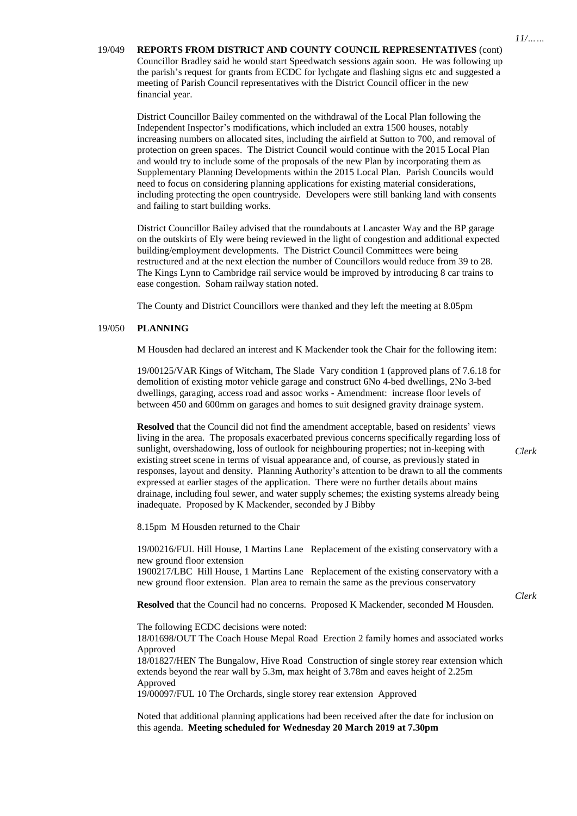19/049 **REPORTS FROM DISTRICT AND COUNTY COUNCIL REPRESENTATIVES** (cont) Councillor Bradley said he would start Speedwatch sessions again soon. He was following up the parish's request for grants from ECDC for lychgate and flashing signs etc and suggested a meeting of Parish Council representatives with the District Council officer in the new financial year.

District Councillor Bailey commented on the withdrawal of the Local Plan following the Independent Inspector's modifications, which included an extra 1500 houses, notably increasing numbers on allocated sites, including the airfield at Sutton to 700, and removal of protection on green spaces. The District Council would continue with the 2015 Local Plan and would try to include some of the proposals of the new Plan by incorporating them as Supplementary Planning Developments within the 2015 Local Plan. Parish Councils would need to focus on considering planning applications for existing material considerations, including protecting the open countryside. Developers were still banking land with consents and failing to start building works.

District Councillor Bailey advised that the roundabouts at Lancaster Way and the BP garage on the outskirts of Ely were being reviewed in the light of congestion and additional expected building/employment developments. The District Council Committees were being restructured and at the next election the number of Councillors would reduce from 39 to 28. The Kings Lynn to Cambridge rail service would be improved by introducing 8 car trains to ease congestion. Soham railway station noted.

The County and District Councillors were thanked and they left the meeting at 8.05pm

## 19/050 **PLANNING**

M Housden had declared an interest and K Mackender took the Chair for the following item:

19/00125/VAR Kings of Witcham, The Slade Vary condition 1 (approved plans of 7.6.18 for demolition of existing motor vehicle garage and construct 6No 4-bed dwellings, 2No 3-bed dwellings, garaging, access road and assoc works - Amendment: increase floor levels of between 450 and 600mm on garages and homes to suit designed gravity drainage system.

**Resolved** that the Council did not find the amendment acceptable, based on residents' views living in the area. The proposals exacerbated previous concerns specifically regarding loss of sunlight, overshadowing, loss of outlook for neighbouring properties; not in-keeping with existing street scene in terms of visual appearance and, of course, as previously stated in responses, layout and density. Planning Authority's attention to be drawn to all the comments expressed at earlier stages of the application. There were no further details about mains drainage, including foul sewer, and water supply schemes; the existing systems already being inadequate. Proposed by K Mackender, seconded by J Bibby

8.15pm M Housden returned to the Chair

19/00216/FUL Hill House, 1 Martins Lane Replacement of the existing conservatory with a new ground floor extension

1900217/LBC Hill House, 1 Martins Lane Replacement of the existing conservatory with a new ground floor extension. Plan area to remain the same as the previous conservatory

**Resolved** that the Council had no concerns. Proposed K Mackender, seconded M Housden.

The following ECDC decisions were noted:

18/01698/OUT The Coach House Mepal Road Erection 2 family homes and associated works Approved

18/01827/HEN The Bungalow, Hive Road Construction of single storey rear extension which extends beyond the rear wall by 5.3m, max height of 3.78m and eaves height of 2.25m Approved

19/00097/FUL 10 The Orchards, single storey rear extension Approved

Noted that additional planning applications had been received after the date for inclusion on this agenda. **Meeting scheduled for Wednesday 20 March 2019 at 7.30pm**

*Clerk*

*Clerk*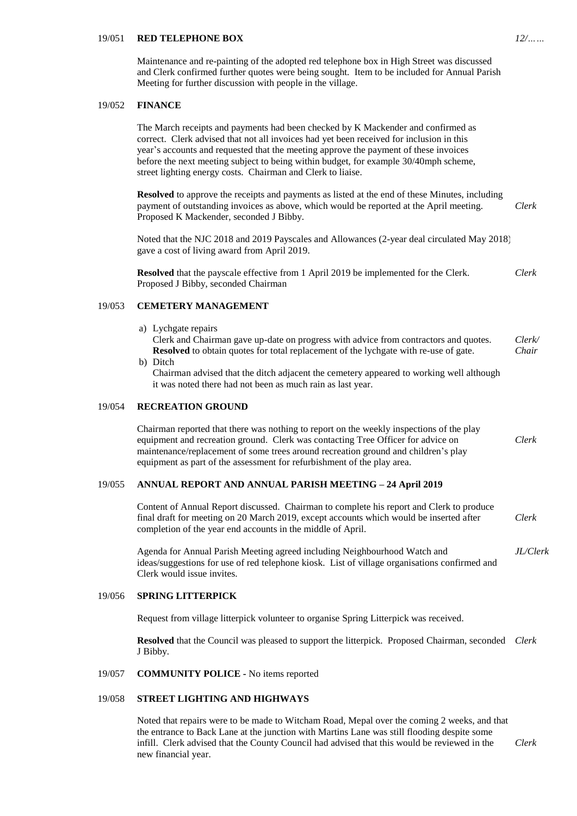## 19/051 **RED TELEPHONE BOX**

Maintenance and re-painting of the adopted red telephone box in High Street was discussed and Clerk confirmed further quotes were being sought. Item to be included for Annual Parish Meeting for further discussion with people in the village.

#### 19/052 **FINANCE**

The March receipts and payments had been checked by K Mackender and confirmed as correct. Clerk advised that not all invoices had yet been received for inclusion in this year's accounts and requested that the meeting approve the payment of these invoices before the next meeting subject to being within budget, for example 30/40mph scheme, street lighting energy costs. Chairman and Clerk to liaise.

**Resolved** to approve the receipts and payments as listed at the end of these Minutes, including payment of outstanding invoices as above, which would be reported at the April meeting. Proposed K Mackender, seconded J Bibby. *Clerk*

Noted that the NJC 2018 and 2019 Payscales and Allowances (2-year deal circulated May 2018) gave a cost of living award from April 2019.

**Resolved** that the payscale effective from 1 April 2019 be implemented for the Clerk. Proposed J Bibby, seconded Chairman *Clerk*

#### 19/053 **CEMETERY MANAGEMENT**

a) Lychgate repairs

Clerk and Chairman gave up-date on progress with advice from contractors and quotes. **Resolved** to obtain quotes for total replacement of the lychgate with re-use of gate. *Clerk/ Chair*

b) Ditch

Chairman advised that the ditch adjacent the cemetery appeared to working well although it was noted there had not been as much rain as last year.

## 19/054 **RECREATION GROUND**

Chairman reported that there was nothing to report on the weekly inspections of the play equipment and recreation ground. Clerk was contacting Tree Officer for advice on maintenance/replacement of some trees around recreation ground and children's play equipment as part of the assessment for refurbishment of the play area. *Clerk*

## 19/055 **ANNUAL REPORT AND ANNUAL PARISH MEETING – 24 April 2019**

| Content of Annual Report discussed. Chairman to complete his report and Clerk to produce |       |
|------------------------------------------------------------------------------------------|-------|
| final draft for meeting on 20 March 2019, except accounts which would be inserted after  | Clerk |
| completion of the year end accounts in the middle of April.                              |       |

Agenda for Annual Parish Meeting agreed including Neighbourhood Watch and ideas/suggestions for use of red telephone kiosk. List of village organisations confirmed and Clerk would issue invites. *JL/Clerk*

#### 19/056 **SPRING LITTERPICK**

Request from village litterpick volunteer to organise Spring Litterpick was received.

**Resolved** that the Council was pleased to support the litterpick. Proposed Chairman, seconded *Clerk* J Bibby.

#### 19/057 **COMMUNITY POLICE -** No items reported

## 19/058 **STREET LIGHTING AND HIGHWAYS**

Noted that repairs were to be made to Witcham Road, Mepal over the coming 2 weeks, and that the entrance to Back Lane at the junction with Martins Lane was still flooding despite some infill. Clerk advised that the County Council had advised that this would be reviewed in the new financial year. *Clerk*